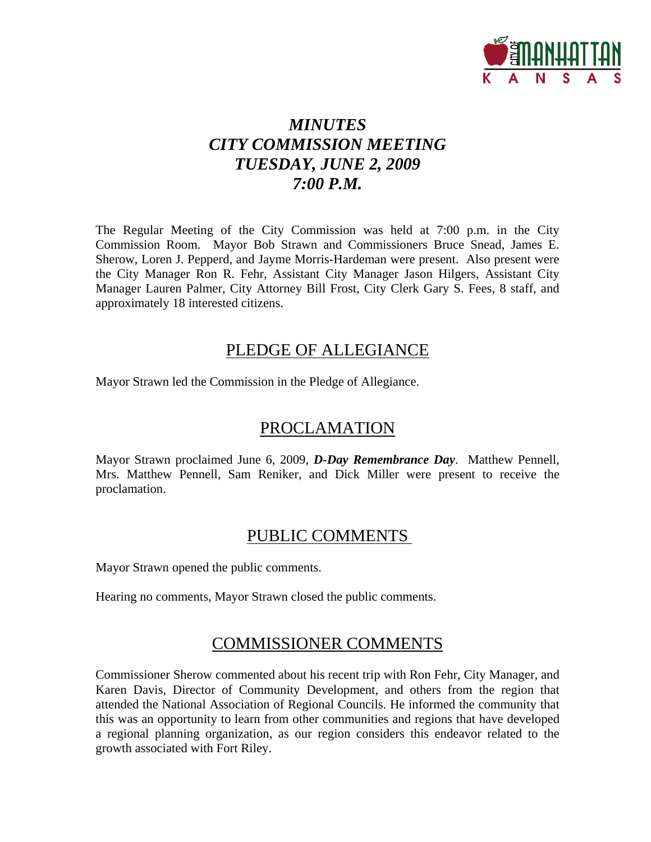

# *MINUTES CITY COMMISSION MEETING TUESDAY, JUNE 2, 2009 7:00 P.M.*

The Regular Meeting of the City Commission was held at 7:00 p.m. in the City Commission Room. Mayor Bob Strawn and Commissioners Bruce Snead, James E. Sherow, Loren J. Pepperd, and Jayme Morris-Hardeman were present. Also present were the City Manager Ron R. Fehr, Assistant City Manager Jason Hilgers, Assistant City Manager Lauren Palmer, City Attorney Bill Frost, City Clerk Gary S. Fees, 8 staff, and approximately 18 interested citizens.

### PLEDGE OF ALLEGIANCE

Mayor Strawn led the Commission in the Pledge of Allegiance.

## PROCLAMATION

Mayor Strawn proclaimed June 6, 2009, *D-Day Remembrance Day*. Matthew Pennell, Mrs. Matthew Pennell, Sam Reniker, and Dick Miller were present to receive the proclamation.

## PUBLIC COMMENTS

Mayor Strawn opened the public comments.

Hearing no comments, Mayor Strawn closed the public comments.

## COMMISSIONER COMMENTS

Commissioner Sherow commented about his recent trip with Ron Fehr, City Manager, and Karen Davis, Director of Community Development, and others from the region that attended the National Association of Regional Councils. He informed the community that this was an opportunity to learn from other communities and regions that have developed a regional planning organization, as our region considers this endeavor related to the growth associated with Fort Riley.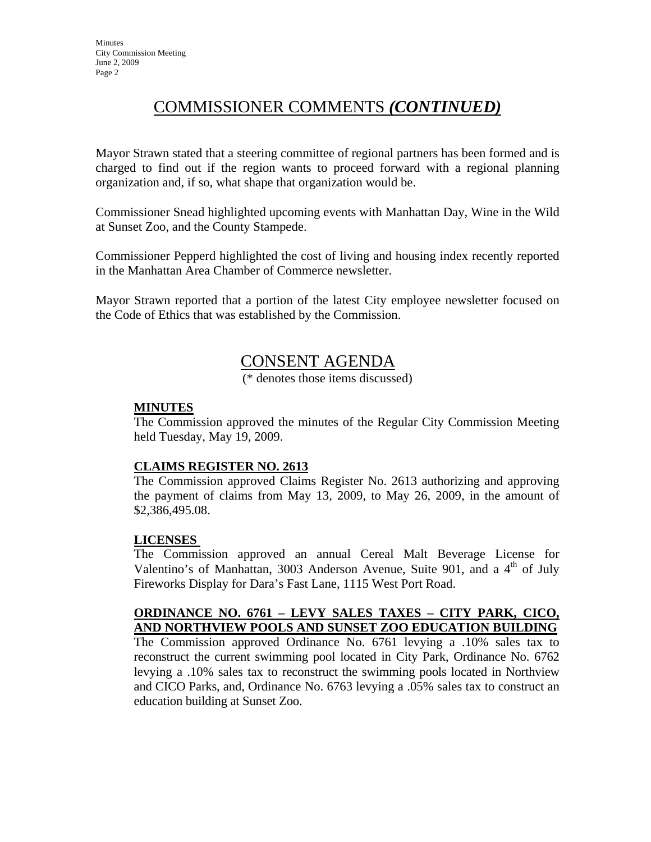## COMMISSIONER COMMENTS *(CONTINUED)*

Mayor Strawn stated that a steering committee of regional partners has been formed and is charged to find out if the region wants to proceed forward with a regional planning organization and, if so, what shape that organization would be.

Commissioner Snead highlighted upcoming events with Manhattan Day, Wine in the Wild at Sunset Zoo, and the County Stampede.

Commissioner Pepperd highlighted the cost of living and housing index recently reported in the Manhattan Area Chamber of Commerce newsletter.

Mayor Strawn reported that a portion of the latest City employee newsletter focused on the Code of Ethics that was established by the Commission.

### CONSENT AGENDA

(\* denotes those items discussed)

#### **MINUTES**

The Commission approved the minutes of the Regular City Commission Meeting held Tuesday, May 19, 2009.

#### **CLAIMS REGISTER NO. 2613**

The Commission approved Claims Register No. 2613 authorizing and approving the payment of claims from May 13, 2009, to May 26, 2009, in the amount of \$2,386,495.08.

#### **LICENSES**

The Commission approved an annual Cereal Malt Beverage License for Valentino's of Manhattan, 3003 Anderson Avenue, Suite 901, and a  $4<sup>th</sup>$  of July Fireworks Display for Dara's Fast Lane, 1115 West Port Road.

#### **ORDINANCE NO. 6761 – LEVY SALES TAXES – CITY PARK, CICO, AND NORTHVIEW POOLS AND SUNSET ZOO EDUCATION BUILDING**

The Commission approved Ordinance No. 6761 levying a .10% sales tax to reconstruct the current swimming pool located in City Park, Ordinance No. 6762 levying a .10% sales tax to reconstruct the swimming pools located in Northview and CICO Parks, and, Ordinance No. 6763 levying a .05% sales tax to construct an education building at Sunset Zoo.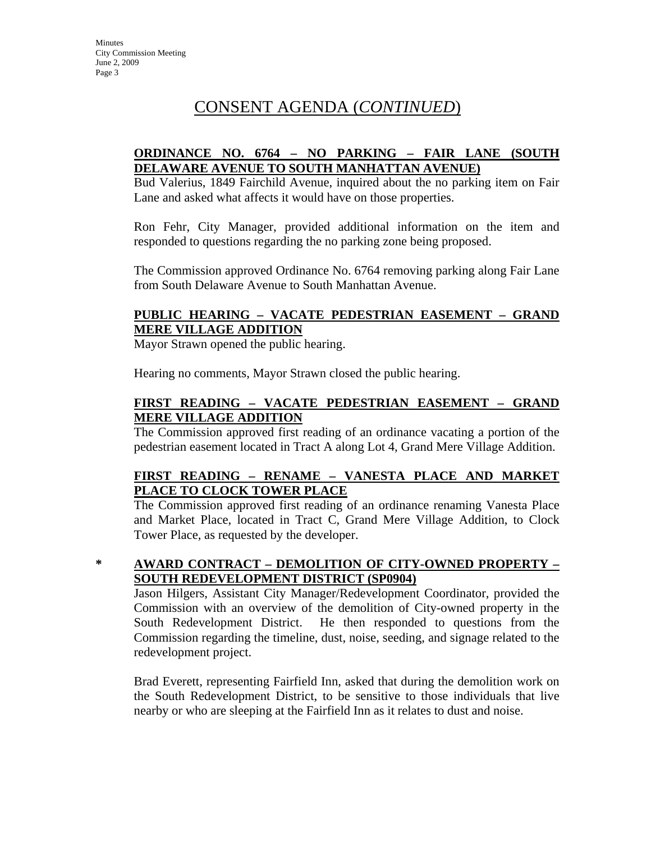# CONSENT AGENDA (*CONTINUED*)

### **ORDINANCE NO. 6764 – NO PARKING – FAIR LANE (SOUTH DELAWARE AVENUE TO SOUTH MANHATTAN AVENUE)**

Bud Valerius, 1849 Fairchild Avenue, inquired about the no parking item on Fair Lane and asked what affects it would have on those properties.

Ron Fehr, City Manager, provided additional information on the item and responded to questions regarding the no parking zone being proposed.

The Commission approved Ordinance No. 6764 removing parking along Fair Lane from South Delaware Avenue to South Manhattan Avenue.

### **PUBLIC HEARING – VACATE PEDESTRIAN EASEMENT – GRAND MERE VILLAGE ADDITION**

Mayor Strawn opened the public hearing.

Hearing no comments, Mayor Strawn closed the public hearing.

### **FIRST READING – VACATE PEDESTRIAN EASEMENT – GRAND MERE VILLAGE ADDITION**

The Commission approved first reading of an ordinance vacating a portion of the pedestrian easement located in Tract A along Lot 4, Grand Mere Village Addition.

### **FIRST READING – RENAME – VANESTA PLACE AND MARKET PLACE TO CLOCK TOWER PLACE**

The Commission approved first reading of an ordinance renaming Vanesta Place and Market Place, located in Tract C, Grand Mere Village Addition, to Clock Tower Place, as requested by the developer.

### **\* AWARD CONTRACT – DEMOLITION OF CITY-OWNED PROPERTY – SOUTH REDEVELOPMENT DISTRICT (SP0904)**

Jason Hilgers, Assistant City Manager/Redevelopment Coordinator, provided the Commission with an overview of the demolition of City-owned property in the South Redevelopment District. He then responded to questions from the Commission regarding the timeline, dust, noise, seeding, and signage related to the redevelopment project.

Brad Everett, representing Fairfield Inn, asked that during the demolition work on the South Redevelopment District, to be sensitive to those individuals that live nearby or who are sleeping at the Fairfield Inn as it relates to dust and noise.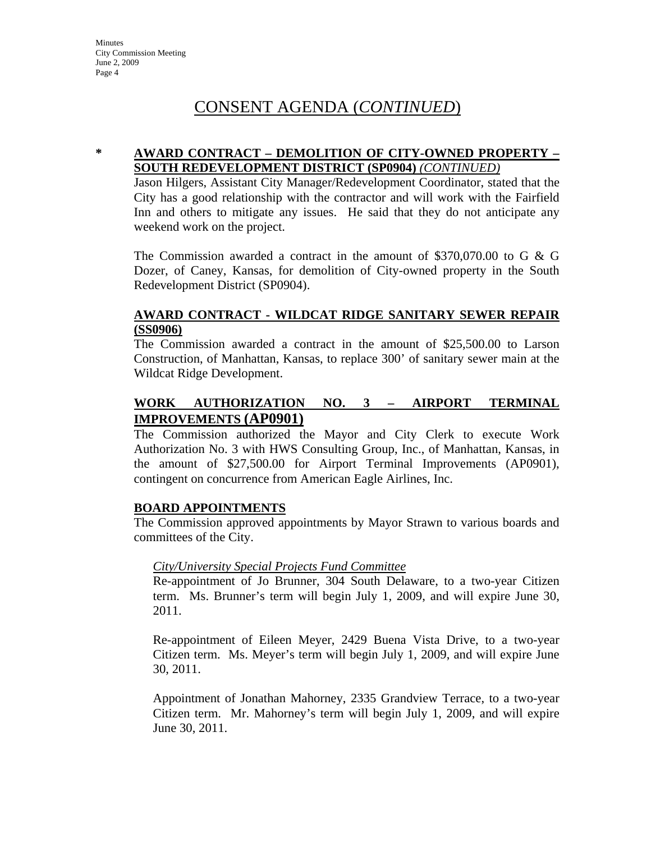## CONSENT AGENDA (*CONTINUED*)

#### **\* AWARD CONTRACT – DEMOLITION OF CITY-OWNED PROPERTY – SOUTH REDEVELOPMENT DISTRICT (SP0904)** *(CONTINUED)*

Jason Hilgers, Assistant City Manager/Redevelopment Coordinator, stated that the City has a good relationship with the contractor and will work with the Fairfield Inn and others to mitigate any issues. He said that they do not anticipate any weekend work on the project.

The Commission awarded a contract in the amount of \$370,070.00 to G & G Dozer, of Caney, Kansas, for demolition of City-owned property in the South Redevelopment District (SP0904).

### **AWARD CONTRACT - WILDCAT RIDGE SANITARY SEWER REPAIR (SS0906)**

The Commission awarded a contract in the amount of \$25,500.00 to Larson Construction, of Manhattan, Kansas, to replace 300' of sanitary sewer main at the Wildcat Ridge Development.

### **WORK AUTHORIZATION NO. 3 – AIRPORT TERMINAL IMPROVEMENTS (AP0901)**

The Commission authorized the Mayor and City Clerk to execute Work Authorization No. 3 with HWS Consulting Group, Inc., of Manhattan, Kansas, in the amount of \$27,500.00 for Airport Terminal Improvements (AP0901), contingent on concurrence from American Eagle Airlines, Inc.

#### **BOARD APPOINTMENTS**

The Commission approved appointments by Mayor Strawn to various boards and committees of the City.

### *City/University Special Projects Fund Committee*

Re-appointment of Jo Brunner, 304 South Delaware, to a two-year Citizen term. Ms. Brunner's term will begin July 1, 2009, and will expire June 30, 2011.

Re-appointment of Eileen Meyer, 2429 Buena Vista Drive, to a two-year Citizen term. Ms. Meyer's term will begin July 1, 2009, and will expire June 30, 2011.

Appointment of Jonathan Mahorney, 2335 Grandview Terrace, to a two-year Citizen term. Mr. Mahorney's term will begin July 1, 2009, and will expire June 30, 2011.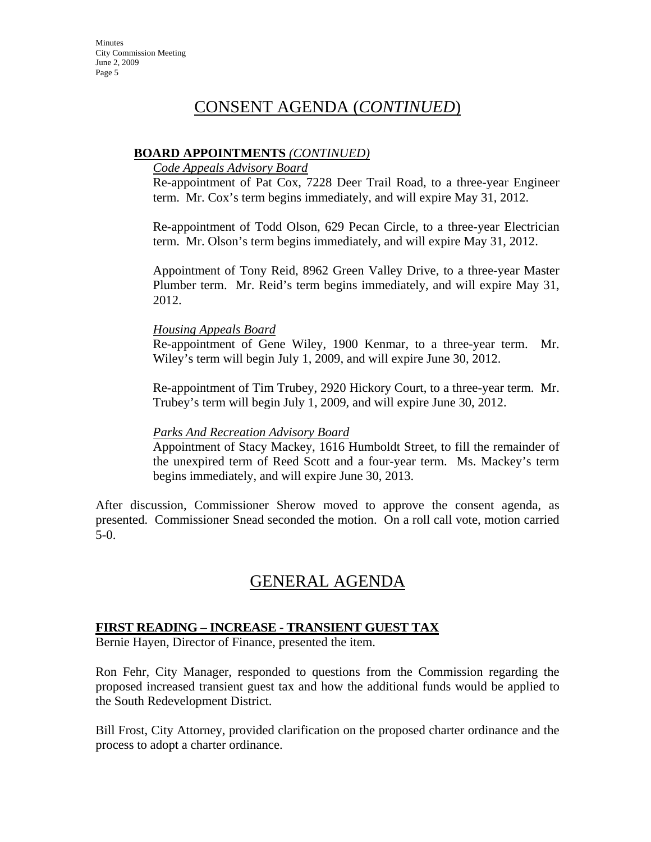## CONSENT AGENDA (*CONTINUED*)

#### **BOARD APPOINTMENTS** *(CONTINUED)*

#### *Code Appeals Advisory Board*

Re-appointment of Pat Cox, 7228 Deer Trail Road, to a three-year Engineer term. Mr. Cox's term begins immediately, and will expire May 31, 2012.

Re-appointment of Todd Olson, 629 Pecan Circle, to a three-year Electrician term. Mr. Olson's term begins immediately, and will expire May 31, 2012.

Appointment of Tony Reid, 8962 Green Valley Drive, to a three-year Master Plumber term. Mr. Reid's term begins immediately, and will expire May 31, 2012.

#### *Housing Appeals Board*

Re-appointment of Gene Wiley, 1900 Kenmar, to a three-year term. Mr. Wiley's term will begin July 1, 2009, and will expire June 30, 2012.

Re-appointment of Tim Trubey, 2920 Hickory Court, to a three-year term. Mr. Trubey's term will begin July 1, 2009, and will expire June 30, 2012.

#### *Parks And Recreation Advisory Board*

Appointment of Stacy Mackey, 1616 Humboldt Street, to fill the remainder of the unexpired term of Reed Scott and a four-year term. Ms. Mackey's term begins immediately, and will expire June 30, 2013.

After discussion, Commissioner Sherow moved to approve the consent agenda, as presented. Commissioner Snead seconded the motion. On a roll call vote, motion carried 5-0.

## GENERAL AGENDA

### **FIRST READING – INCREASE - TRANSIENT GUEST TAX**

Bernie Hayen, Director of Finance, presented the item.

Ron Fehr, City Manager, responded to questions from the Commission regarding the proposed increased transient guest tax and how the additional funds would be applied to the South Redevelopment District.

Bill Frost, City Attorney, provided clarification on the proposed charter ordinance and the process to adopt a charter ordinance.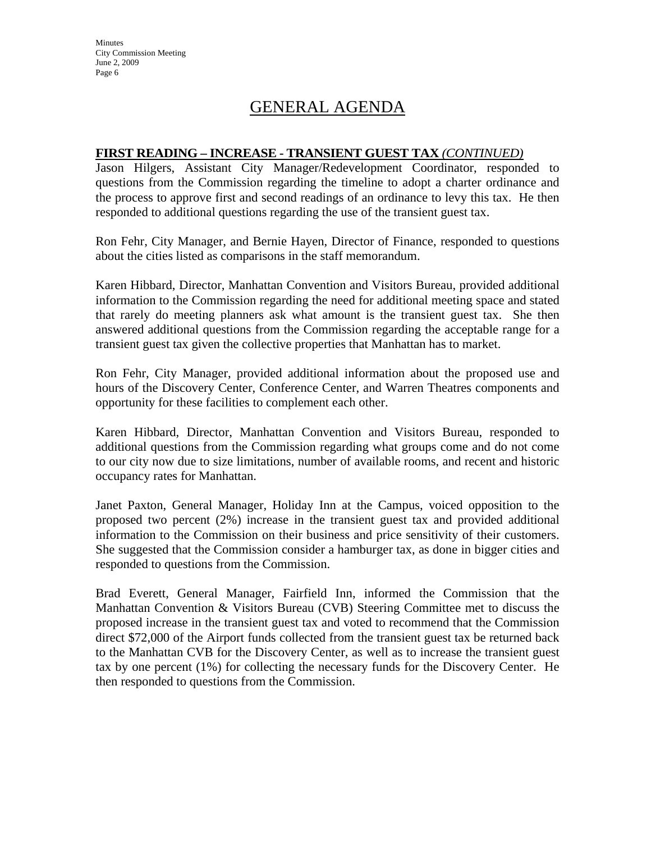**Minutes** City Commission Meeting June 2, 2009 Page 6

## GENERAL AGENDA

#### **FIRST READING – INCREASE - TRANSIENT GUEST TAX** *(CONTINUED)*

Jason Hilgers, Assistant City Manager/Redevelopment Coordinator, responded to questions from the Commission regarding the timeline to adopt a charter ordinance and the process to approve first and second readings of an ordinance to levy this tax. He then responded to additional questions regarding the use of the transient guest tax.

Ron Fehr, City Manager, and Bernie Hayen, Director of Finance, responded to questions about the cities listed as comparisons in the staff memorandum.

Karen Hibbard, Director, Manhattan Convention and Visitors Bureau, provided additional information to the Commission regarding the need for additional meeting space and stated that rarely do meeting planners ask what amount is the transient guest tax. She then answered additional questions from the Commission regarding the acceptable range for a transient guest tax given the collective properties that Manhattan has to market.

Ron Fehr, City Manager, provided additional information about the proposed use and hours of the Discovery Center, Conference Center, and Warren Theatres components and opportunity for these facilities to complement each other.

Karen Hibbard, Director, Manhattan Convention and Visitors Bureau, responded to additional questions from the Commission regarding what groups come and do not come to our city now due to size limitations, number of available rooms, and recent and historic occupancy rates for Manhattan.

Janet Paxton, General Manager, Holiday Inn at the Campus, voiced opposition to the proposed two percent (2%) increase in the transient guest tax and provided additional information to the Commission on their business and price sensitivity of their customers. She suggested that the Commission consider a hamburger tax, as done in bigger cities and responded to questions from the Commission.

Brad Everett, General Manager, Fairfield Inn, informed the Commission that the Manhattan Convention & Visitors Bureau (CVB) Steering Committee met to discuss the proposed increase in the transient guest tax and voted to recommend that the Commission direct \$72,000 of the Airport funds collected from the transient guest tax be returned back to the Manhattan CVB for the Discovery Center, as well as to increase the transient guest tax by one percent (1%) for collecting the necessary funds for the Discovery Center. He then responded to questions from the Commission.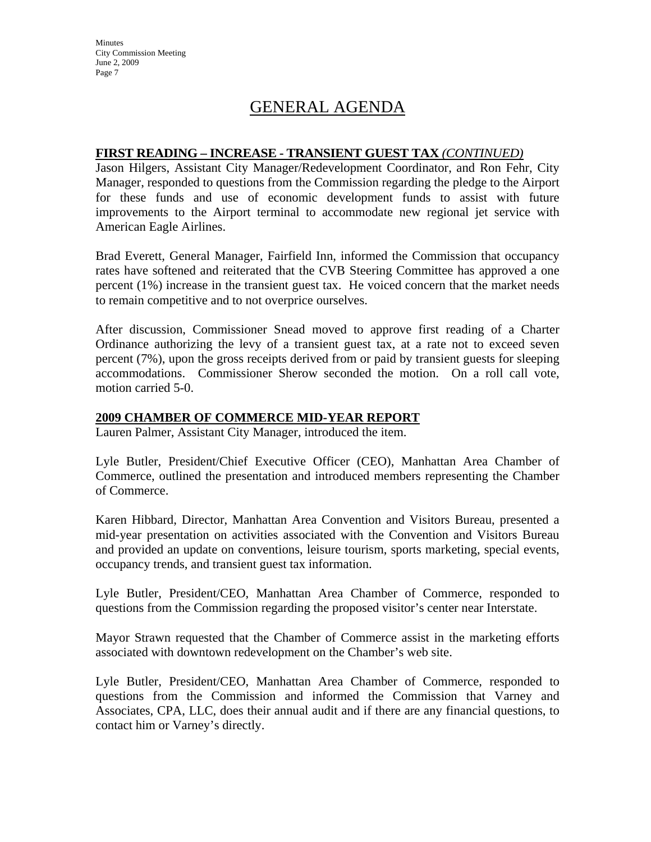**Minutes** City Commission Meeting June 2, 2009 Page 7

## GENERAL AGENDA

#### **FIRST READING – INCREASE - TRANSIENT GUEST TAX** *(CONTINUED)*

Jason Hilgers, Assistant City Manager/Redevelopment Coordinator, and Ron Fehr, City Manager, responded to questions from the Commission regarding the pledge to the Airport for these funds and use of economic development funds to assist with future improvements to the Airport terminal to accommodate new regional jet service with American Eagle Airlines.

Brad Everett, General Manager, Fairfield Inn, informed the Commission that occupancy rates have softened and reiterated that the CVB Steering Committee has approved a one percent (1%) increase in the transient guest tax. He voiced concern that the market needs to remain competitive and to not overprice ourselves.

After discussion, Commissioner Snead moved to approve first reading of a Charter Ordinance authorizing the levy of a transient guest tax, at a rate not to exceed seven percent (7%), upon the gross receipts derived from or paid by transient guests for sleeping accommodations. Commissioner Sherow seconded the motion. On a roll call vote, motion carried 5-0.

#### **2009 CHAMBER OF COMMERCE MID-YEAR REPORT**

Lauren Palmer, Assistant City Manager, introduced the item.

Lyle Butler, President/Chief Executive Officer (CEO), Manhattan Area Chamber of Commerce, outlined the presentation and introduced members representing the Chamber of Commerce.

Karen Hibbard, Director, Manhattan Area Convention and Visitors Bureau, presented a mid-year presentation on activities associated with the Convention and Visitors Bureau and provided an update on conventions, leisure tourism, sports marketing, special events, occupancy trends, and transient guest tax information.

Lyle Butler, President/CEO, Manhattan Area Chamber of Commerce, responded to questions from the Commission regarding the proposed visitor's center near Interstate.

Mayor Strawn requested that the Chamber of Commerce assist in the marketing efforts associated with downtown redevelopment on the Chamber's web site.

Lyle Butler, President/CEO, Manhattan Area Chamber of Commerce, responded to questions from the Commission and informed the Commission that Varney and Associates, CPA, LLC, does their annual audit and if there are any financial questions, to contact him or Varney's directly.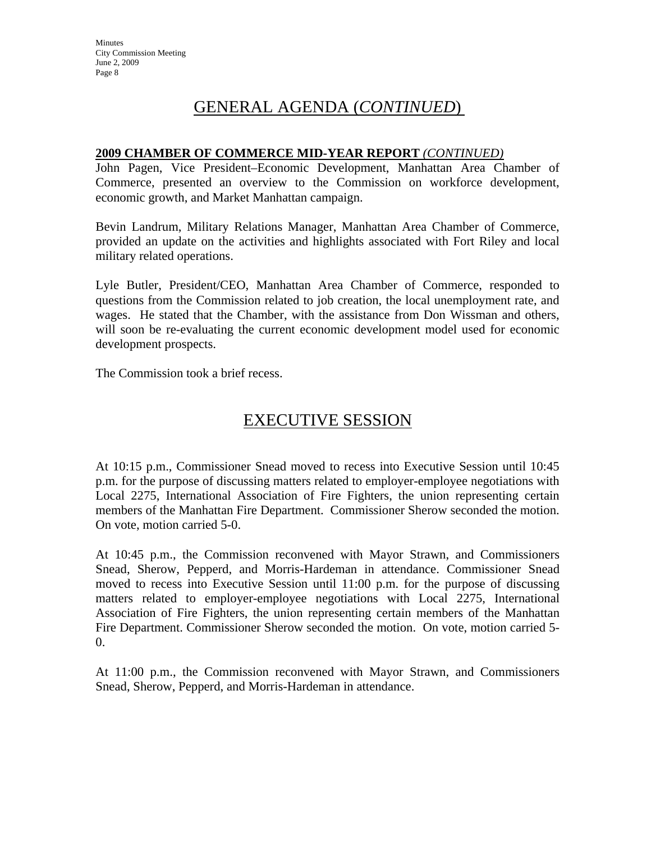## GENERAL AGENDA (*CONTINUED*)

#### **2009 CHAMBER OF COMMERCE MID-YEAR REPORT** *(CONTINUED)*

John Pagen, Vice President–Economic Development, Manhattan Area Chamber of Commerce, presented an overview to the Commission on workforce development, economic growth, and Market Manhattan campaign.

Bevin Landrum, Military Relations Manager, Manhattan Area Chamber of Commerce, provided an update on the activities and highlights associated with Fort Riley and local military related operations.

Lyle Butler, President/CEO, Manhattan Area Chamber of Commerce, responded to questions from the Commission related to job creation, the local unemployment rate, and wages. He stated that the Chamber, with the assistance from Don Wissman and others, will soon be re-evaluating the current economic development model used for economic development prospects.

The Commission took a brief recess.

## EXECUTIVE SESSION

At 10:15 p.m., Commissioner Snead moved to recess into Executive Session until 10:45 p.m. for the purpose of discussing matters related to employer-employee negotiations with Local 2275, International Association of Fire Fighters, the union representing certain members of the Manhattan Fire Department. Commissioner Sherow seconded the motion. On vote, motion carried 5-0.

At 10:45 p.m., the Commission reconvened with Mayor Strawn, and Commissioners Snead, Sherow, Pepperd, and Morris-Hardeman in attendance. Commissioner Snead moved to recess into Executive Session until 11:00 p.m. for the purpose of discussing matters related to employer-employee negotiations with Local 2275, International Association of Fire Fighters, the union representing certain members of the Manhattan Fire Department. Commissioner Sherow seconded the motion. On vote, motion carried 5- 0.

At 11:00 p.m., the Commission reconvened with Mayor Strawn, and Commissioners Snead, Sherow, Pepperd, and Morris-Hardeman in attendance.